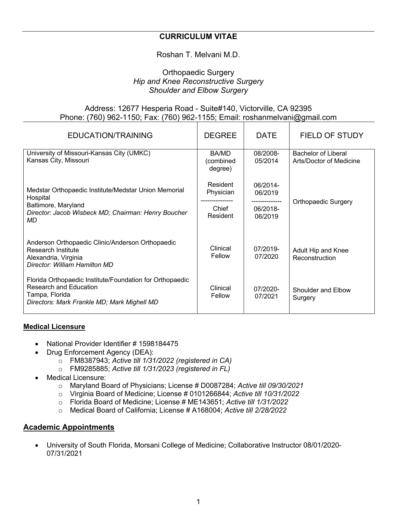### **CURRICULUM VITAE**

### Roshan T. Melvani M.D.

#### Orthopaedic Surgery *Hip and Knee Reconstructive Surgery Shoulder and Elbow Surgery*

#### Address: 12677 Hesperia Road - Suite#140, Victorville, CA 92395 Phone: (760) 962-1150; Fax: (760) 962-1155; Email: roshanmelvani@gmail.com

| EDUCATION/TRAINING                                                                                                                                         | <b>DEGREE</b>                              | <b>DATE</b>                                                  | <b>FIELD OF STUDY</b>                                 |
|------------------------------------------------------------------------------------------------------------------------------------------------------------|--------------------------------------------|--------------------------------------------------------------|-------------------------------------------------------|
| University of Missouri-Kansas City (UMKC)<br>Kansas City, Missouri                                                                                         | BA/MD<br>(combined<br>degree)              | 08/2008-<br>05/2014                                          | <b>Bachelor of Liberal</b><br>Arts/Doctor of Medicine |
| Medstar Orthopaedic Institute/Medstar Union Memorial<br>Hospital<br>Baltimore, Maryland<br>Director: Jacob Wisbeck MD; Chairman: Henry Boucher<br>MD.      | Resident<br>Physician<br>Chief<br>Resident | 06/2014-<br>06/2019<br>--------------<br>06/2018-<br>06/2019 | <b>Orthopaedic Surgery</b>                            |
| Anderson Orthopaedic Clinic/Anderson Orthopaedic<br>Research Institute<br>Alexandria, Virginia<br>Director: William Hamilton MD                            | Clinical<br>Fellow                         | 07/2019-<br>07/2020                                          | Adult Hip and Knee<br>Reconstruction                  |
| Florida Orthopaedic Institute/Foundation for Orthopaedic<br><b>Research and Education</b><br>Tampa, Florida<br>Directors: Mark Frankle MD; Mark Mighell MD | Clinical<br>Fellow                         | $07/2020 -$<br>07/2021                                       | Shoulder and Elbow<br>Surgery                         |

#### **Medical Licensure**

- National Provider Identifier # 1598184475
- Drug Enforcement Agency (DEA):
	- o FM8387943; *Active till 1/31/2022 (registered in CA)*
	- o FM9285885; *Active till 1/31/2023 (registered in FL)*
- Medical Licensure:
	- o Maryland Board of Physicians; License # D0087284; *Active till 09/30/2021*
	- o Virginia Board of Medicine; License # 0101266844; *Active till 10/31/2022*
	- o Florida Board of Medicine; License # ME143651; *Active till 1/31/2022*
	- o Medical Board of California; License # A168004; *Active till 2/28/2022*

#### **Academic Appointments**

• University of South Florida, Morsani College of Medicine; Collaborative Instructor 08/01/2020- 07/31/2021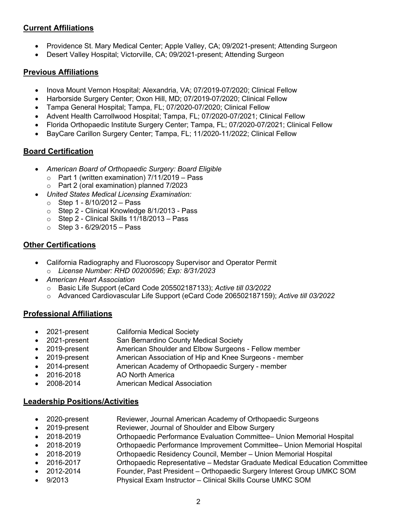## **Current Affiliations**

- Providence St. Mary Medical Center; Apple Valley, CA; 09/2021-present; Attending Surgeon
- Desert Valley Hospital; Victorville, CA; 09/2021-present; Attending Surgeon

## **Previous Affiliations**

- Inova Mount Vernon Hospital; Alexandria, VA; 07/2019-07/2020; Clinical Fellow
- Harborside Surgery Center; Oxon Hill, MD; 07/2019-07/2020; Clinical Fellow
- Tampa General Hospital; Tampa, FL; 07/2020-07/2020; Clinical Fellow
- Advent Health Carrollwood Hospital; Tampa, FL; 07/2020-07/2021; Clinical Fellow
- Florida Orthopaedic Institute Surgery Center; Tampa, FL; 07/2020-07/2021; Clinical Fellow
- BayCare Carillon Surgery Center; Tampa, FL; 11/2020-11/2022; Clinical Fellow

## **Board Certification**

- *American Board of Orthopaedic Surgery: Board Eligible*
	- o Part 1 (written examination) 7/11/2019 Pass
	- o Part 2 (oral examination) planned 7/2023
- *United States Medical Licensing Examination:* 
	- $\circ$  Step 1 8/10/2012 Pass
	- o Step 2 Clinical Knowledge 8/1/2013 Pass
	- $\circ$  Step 2 Clinical Skills 11/18/2013 Pass
	- $\circ$  Step 3 6/29/2015 Pass

# **Other Certifications**

- California Radiography and Fluoroscopy Supervisor and Operator Permit
	- o *License Number: RHD 00200596; Exp: 8/31/2023*
- *American Heart Association*
	- o Basic Life Support (eCard Code 205502187133); *Active till 03/2022*
	- o Advanced Cardiovascular Life Support (eCard Code 206502187159); *Active till 03/2022*

## **Professional Affiliations**

- 2021-present California Medical Society
- 2021-present San Bernardino County Medical Society
- 2019-present American Shoulder and Elbow Surgeons Fellow member
- 2019-present American Association of Hip and Knee Surgeons member
- 2014-present American Academy of Orthopaedic Surgery member
- 2016-2018 AO North America
- 2008-2014 American Medical Association

## **Leadership Positions/Activities**

- 2020-present Reviewer, Journal American Academy of Orthopaedic Surgeons
- 2019-present Reviewer, Journal of Shoulder and Elbow Surgery
- 2018-2019 Orthopaedic Performance Evaluation Committee– Union Memorial Hospital
	- 2018-2019 Orthopaedic Performance Improvement Committee– Union Memorial Hospital
	- 2018-2019 Orthopaedic Residency Council, Member Union Memorial Hospital
- 2016-2017 Orthopaedic Representative Medstar Graduate Medical Education Committee
- 2012-2014 Founder, Past President Orthopaedic Surgery Interest Group UMKC SOM
- 9/2013 Physical Exam Instructor Clinical Skills Course UMKC SOM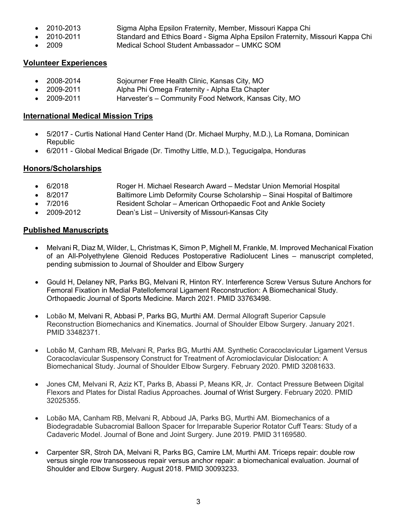- 2010-2013 Sigma Alpha Epsilon Fraternity, Member, Missouri Kappa Chi
	- 2010-2011 Standard and Ethics Board Sigma Alpha Epsilon Fraternity, Missouri Kappa Chi
	- 2009 Medical School Student Ambassador UMKC SOM

### **Volunteer Experiences**

- 2008-2014 Sojourner Free Health Clinic, Kansas City, MO
- 2009-2011 Alpha Phi Omega Fraternity Alpha Eta Chapter
- 2009-2011 Harvester's Community Food Network, Kansas City, MO

### **International Medical Mission Trips**

- 5/2017 Curtis National Hand Center Hand (Dr. Michael Murphy, M.D.), La Romana, Dominican Republic
- 6/2011 Global Medical Brigade (Dr. Timothy Little, M.D.), Tegucigalpa, Honduras

# **Honors/Scholarships**

- 6/2018 Roger H. Michael Research Award Medstar Union Memorial Hospital
- 8/2017 Baltimore Limb Deformity Course Scholarship Sinai Hospital of Baltimore
	- 7/2016 Resident Scholar American Orthopaedic Foot and Ankle Society
- 2009-2012 Dean's List University of Missouri-Kansas City

## **Published Manuscripts**

- Melvani R, Diaz M, Wilder, L, Christmas K, Simon P, Mighell M, Frankle, M. Improved Mechanical Fixation of an All-Polyethylene Glenoid Reduces Postoperative Radiolucent Lines – manuscript completed, pending submission to Journal of Shoulder and Elbow Surgery
- Gould H, Delaney NR, Parks BG, Melvani R, Hinton RY. Interference Screw Versus Suture Anchors for Femoral Fixation in Medial Patellofemoral Ligament Reconstruction: A Biomechanical Study. Orthopaedic Journal of Sports Medicine. March 2021. PMID 33763498.
- Lobão M, Melvani R, Abbasi P, Parks BG, Murthi AM. Dermal Allograft Superior Capsule Reconstruction Biomechanics and Kinematics. Journal of Shoulder Elbow Surgery. January 2021. PMID 33482371.
- Lobão M, Canham RB, Melvani R, Parks BG, Murthi AM. Synthetic Coracoclavicular Ligament Versus Coracoclavicular Suspensory Construct for Treatment of Acromioclavicular Dislocation: A Biomechanical Study. Journal of Shoulder Elbow Surgery. February 2020. PMID 32081633.
- Jones CM, Melvani R, Aziz KT, Parks B, Abassi P, Means KR, Jr. Contact Pressure Between Digital Flexors and Plates for Distal Radius Approaches. Journal of Wrist Surgery. February 2020. PMID 32025355.
- Lobão MA, Canham RB, Melvani R, Abboud JA, Parks BG, Murthi AM. Biomechanics of a Biodegradable Subacromial Balloon Spacer for Irreparable Superior Rotator Cuff Tears: Study of a Cadaveric Model. Journal of Bone and Joint Surgery. June 2019. PMID 31169580.
- Carpenter SR, Stroh DA, Melvani R, Parks BG, Camire LM, Murthi AM. Triceps repair: double row versus single row transosseous repair versus anchor repair: a biomechanical evaluation. Journal of Shoulder and Elbow Surgery. August 2018. PMID 30093233.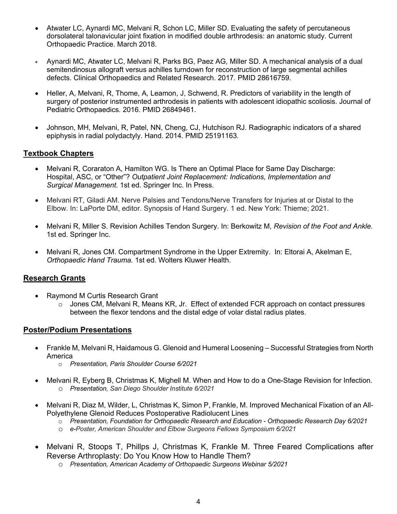- Atwater LC, Aynardi MC, Melvani R, Schon LC, Miller SD. Evaluating the safety of percutaneous dorsolateral talonavicular joint fixation in modified double arthrodesis: an anatomic study. Current Orthopaedic Practice. March 2018.
- Aynardi MC, Atwater LC, Melvani R, Parks BG, Paez AG, Miller SD. A mechanical analysis of a dual semitendinosus allograft versus achilles turndown for reconstruction of large segmental achilles defects. Clinical Orthopaedics and Related Research. 2017. PMID 28616759.
- Heller, A, Melvani, R, Thome, A, Leamon, J, Schwend, R. Predictors of variability in the length of surgery of posterior instrumented arthrodesis in patients with adolescent idiopathic scoliosis. Journal of Pediatric Orthopaedics. 2016. PMID 26849461.
- Johnson, MH, Melvani, R, Patel, NN, Cheng, CJ, Hutchison RJ. Radiographic indicators of a shared epiphysis in radial polydactyly. Hand. 2014. PMID 25191163.

#### **Textbook Chapters**

- Melvani R, Coraraton A, Hamilton WG. Is There an Optimal Place for Same Day Discharge: Hospital, ASC, or "Other"? *Outpatient Joint Replacement: Indications, Implementation and Surgical Management.* 1st ed. Springer Inc. In Press.
- Melvani RT, Giladi AM. Nerve Palsies and Tendons/Nerve Transfers for Injuries at or Distal to the Elbow. In: LaPorte DM, editor. Synopsis of Hand Surgery. 1 ed. New York: Thieme; 2021.
- Melvani R, Miller S. Revision Achilles Tendon Surgery. In: Berkowitz M, *Revision of the Foot and Ankle.* 1st ed. Springer Inc.
- Melvani R, Jones CM. Compartment Syndrome in the Upper Extremity. In: Eltorai A, Akelman E, *Orthopaedic Hand Trauma.* 1st ed. Wolters Kluwer Health.

### **Research Grants**

- Raymond M Curtis Research Grant
	- o Jones CM, Melvani R, Means KR, Jr. Effect of extended FCR approach on contact pressures between the flexor tendons and the distal edge of volar distal radius plates.

### **Poster/Podium Presentations**

- Frankle M, Melvani R, Haidamous G. Glenoid and Humeral Loosening Successful Strategies from North America
	- o *Presentation, Paris Shoulder Course 6/2021*
- Melvani R, Eyberg B, Christmas K, Mighell M. When and How to do a One-Stage Revision for Infection. o *Presentation, San Diego Shoulder Institute 6/2021*
- Melvani R, Diaz M, Wilder, L, Christmas K, Simon P, Frankle, M. Improved Mechanical Fixation of an All-Polyethylene Glenoid Reduces Postoperative Radiolucent Lines
	- o *Presentation, Foundation for Orthopaedic Research and Education Orthopaedic Research Day 6/2021*
	- o *e-Poster, American Shoulder and Elbow Surgeons Fellows Symposium 6/2021*
- Melvani R, Stoops T, Phillps J, Christmas K, Frankle M. Three Feared Complications after Reverse Arthroplasty: Do You Know How to Handle Them?
	- o *Presentation, American Academy of Orthopaedic Surgeons Webinar 5/2021*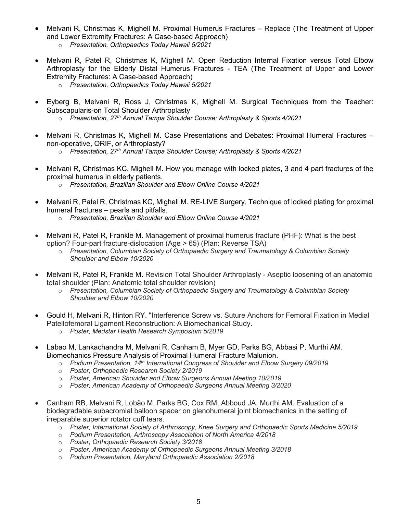- Melvani R, Christmas K, Mighell M. Proximal Humerus Fractures Replace (The Treatment of Upper and Lower Extremity Fractures: A Case-based Approach)
	- o *Presentation, Orthopaedics Today Hawaii 5/2021*
- Melvani R, Patel R, Christmas K, Mighell M. Open Reduction Internal Fixation versus Total Elbow Arthroplasty for the Elderly Distal Humerus Fractures - TEA (The Treatment of Upper and Lower Extremity Fractures: A Case-based Approach)
	- o *Presentation, Orthopaedics Today Hawaii 5/2021*
- Eyberg B, Melvani R, Ross J, Christmas K, Mighell M. Surgical Techniques from the Teacher: Subscapularis-on Total Shoulder Arthroplasty
	- o *Presentation, 27th Annual Tampa Shoulder Course; Arthroplasty & Sports 4/2021*
- Melvani R, Christmas K, Mighell M. Case Presentations and Debates: Proximal Humeral Fractures non-operative, ORIF, or Arthroplasty?
	- o *Presentation, 27th Annual Tampa Shoulder Course; Arthroplasty & Sports 4/2021*
- Melvani R, Christmas KC, Mighell M. How you manage with locked plates, 3 and 4 part fractures of the proximal humerus in elderly patients.
	- o *Presentation, Brazilian Shoulder and Elbow Online Course 4/2021*
- Melvani R, Patel R, Christmas KC, Mighell M. RE-LIVE Surgery, Technique of locked plating for proximal humeral fractures – pearls and pitfalls.
	- o *Presentation, Brazilian Shoulder and Elbow Online Course 4/2021*
- Melvani R, Patel R, Frankle M. Management of proximal humerus fracture (PHF): What is the best option? Four-part fracture-dislocation (Age > 65) (Plan: Reverse TSA)
	- o *Presentation, Columbian Society of Orthopaedic Surgery and Traumatology & Columbian Society Shoulder and Elbow 10/2020*
- Melvani R, Patel R, Frankle M. Revision Total Shoulder Arthroplasty Aseptic loosening of an anatomic total shoulder (Plan: Anatomic total shoulder revision)
	- o *Presentation, Columbian Society of Orthopaedic Surgery and Traumatology & Columbian Society Shoulder and Elbow 10/2020*
- Gould H, Melvani R, Hinton RY. "Interference Screw vs. Suture Anchors for Femoral Fixation in Medial Patellofemoral Ligament Reconstruction: A Biomechanical Study.
	- o *Poster, Medstar Health Research Symposium 5/2019*
- Labao M, Lankachandra M, Melvani R, Canham B, Myer GD, Parks BG, Abbasi P, Murthi AM. Biomechanics Pressure Analysis of Proximal Humeral Fracture Malunion.
	- o *Podium Presentation, 14th International Congress of Shoulder and Elbow Surgery 09/2019*
	- o *Poster, Orthopaedic Research Society 2/2019*
	- o *Poster, American Shoulder and Elbow Surgeons Annual Meeting 10/2019*
	- o *Poster, American Academy of Orthopaedic Surgeons Annual Meeting 3/2020*
- Canham RB, Melvani R, Lobão M, Parks BG, Cox RM, Abboud JA, Murthi AM. Evaluation of a biodegradable subacromial balloon spacer on glenohumeral joint biomechanics in the setting of irreparable superior rotator cuff tears.
	- o *Poster, International Society of Arthroscopy, Knee Surgery and Orthopaedic Sports Medicine 5/2019*
	- o *Podium Presentation, Arthroscopy Association of North America 4/2018*
	- o *Poster, Orthopaedic Research Society 3/2018*
	- o *Poster, American Academy of Orthopaedic Surgeons Annual Meeting 3/2018*
	- o *Podium Presentation, Maryland Orthopaedic Association 2/2018*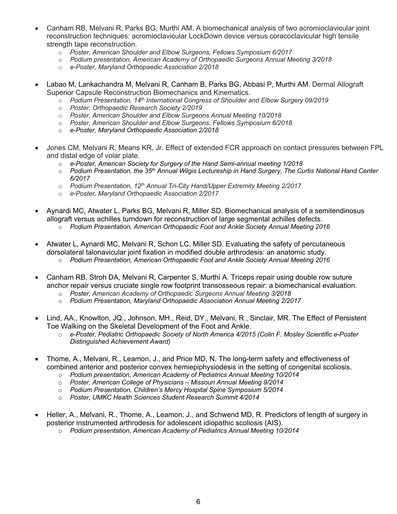- Canham RB, Melvani R, Parks BG, Murthi AM. A biomechanical analysis of two acromioclavicular joint reconstruction techniques: acromioclavicular LockDown device versus coracoclavicular high tensile strength tape reconstruction.
	- o *Poster, American Shoulder and Elbow Surgeons, Fellows Symposium 6/2017*
	- o *Podium presentation, American Academy of Orthopaedic Surgeons Annual Meeting 3/2018*
	- o *e-Poster, Maryland Orthopaedic Association 2/2018*
- Labao M, Lankachandra M, Melvani R, Canham B, Parks BG, Abbasi P, Murthi AM. Dermal Allograft Superior Capsule Reconstruction Biomechanics and Kinematics.
	- o *Podium Presentation, 14th International Congress of Shoulder and Elbow Surgery 09/2019*
	- o *Poster, Orthopaedic Research Society 2/2019*
	- o *Poster, American Shoulder and Elbow Surgeons Annual Meeting 10/2018*
	- o *Poster, American Shoulder and Elbow Surgeons, Fellows Symposium 6/2018*
	- o *e-Poster, Maryland Orthopaedic Association 2/2018*
- Jones CM, Melvani R, Means KR, Jr. Effect of extended FCR approach on contact pressures between FPL and distal edge of volar plate.
	- o *e-Poster, American Society for Surgery of the Hand Semi-annual meeting 1/2018*
	- o *Podium Presentation, the 35th Annual Wilgis Lectureship in Hand Surgery, The Curtis National Hand Center 6/2017*
	- o *Podium Presentation, 12th Annual Tri-City Hand/Upper Extremity Meeting 2/2017*
	- o *e-Poster, Maryland Orthopaedic Association 2/2017*
- Aynardi MC, Atwater L, Parks BG, Melvani R, Miller SD. Biomechanical analysis of a semitendinosus allograft versus achilles turndown for reconstruction of large segmental achilles defects.
	- o *Podium Presentation, American Orthopaedic Foot and Ankle Society Annual Meeting 2016*
- Atwater L, Aynardi MC, Melvani R, Schon LC, Miller SD. Evaluating the safety of percutaneous dorsolateral talonavicular joint fixation in modified double arthrodesis: an anatomic study.
	- o *Podium Presentation, American Orthopaedic Foot and Ankle Society Annual Meeting 2016*
- Canham RB, Stroh DA, Melvani R, Carpenter S, Murthi A. Triceps repair using double row suture anchor repair versus cruciate single row footprint transosseous repair: a biomechanical evaluation.
	- o *Poster, American Academy of Orthopaedic Surgeons Annual Meeting 3/2018*
	- o *Podium Presentation, Maryland Orthopaedic Association Annual Meeting 2/2017*
- Lind, AA., Knowlton, JQ., Johnson, MH., Reid, DY., Melvani, R., Sinclair, MR. The Effect of Persistent Toe Walking on the Skeletal Development of the Foot and Ankle.
	- o *e-Poster, Pediatric Orthopaedic Society of North America 4/2015 (Colin F. Mosley Scientific e-Poster Distinguished Achievement Award)*
- Thome, A., Melvani, R., Leamon, J., and Price MD, N. The long-term safety and effectiveness of combined anterior and posterior convex hemiepiphysiodesis in the setting of congenital scoliosis.
	- o *Podium presentation, American Academy of Pediatrics Annual Meeting 10/2014*
	- o *Poster, American College of Physicians Missouri Annual Meeting 9/2014*
	- o *Podium Presentation, Children's Mercy Hospital Spine Symposium 5/2014*
	- o *Poster, UMKC Health Sciences Student Research Summit 4/2014*
- Heller, A., Melvani, R., Thome, A., Leamon, J., and Schwend MD, R. Predictors of length of surgery in posterior instrumented arthrodesis for adolescent idiopathic scoliosis (AIS).
	- o *Podium presentation, American Academy of Pediatrics Annual Meeting 10/2014*